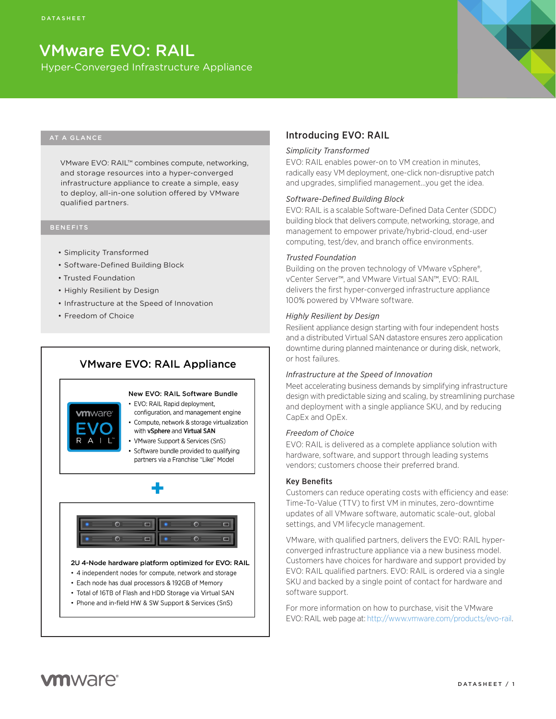# VMware EVO: RAIL

Hyper-Converged Infrastructure Appliance

# AT A GLANCE

VMware EVO: RAIL™ combines compute, networking, and storage resources into a hyper-converged infrastructure appliance to create a simple, easy to deploy, all-in-one solution offered by VMware qualified partners.

# BENEFITS

- • Simplicity Transformed
- • Software-Defined Building Block
- • Trusted Foundation
- • Highly Resilient by Design
- Infrastructure at the Speed of Innovation
- • Freedom of Choice

# **VMware EVO: RAIL Appliance**



#### New EVO: RAIL Software Bundle • EVO: RAIL Rapid deployment.

- configuration, and management engine • Compute, network & storage virtualization
- with vSphere and Virtual SAN
- VMware Support & Services (SnS)
- · Software bundle provided to qualifying partners via a Franchise "Like" Model



#### 2U 4-Node hardware platform optimized for EVO: RAIL

- 4 independent nodes for compute, network and storage
- Each node has dual processors & 192GB of Memory
- Total of 16TB of Flash and HDD Storage via Virtual SAN
- Phone and in-field HW & SW Support & Services (SnS)

# Introducing EVO: RAIL

#### *Simplicity Transformed*

EVO: RAIL enables power-on to VM creation in minutes, radically easy VM deployment, one-click non-disruptive patch and upgrades, simplified management…you get the idea.

# *Software-Defined Building Block*

EVO: RAIL is a scalable Software-Defined Data Center (SDDC) building block that delivers compute, networking, storage, and management to empower private/hybrid-cloud, end-user computing, test/dev, and branch office environments.

# *Trusted Foundation*

Building on the proven technology of VMware vSphere®, vCenter Server™, and VMware Virtual SAN™, EVO: RAIL delivers the first hyper-converged infrastructure appliance 100% powered by VMware software.

## *Highly Resilient by Design*

Resilient appliance design starting with four independent hosts and a distributed Virtual SAN datastore ensures zero application downtime during planned maintenance or during disk, network, or host failures.

#### *Infrastructure at the Speed of Innovation*

Meet accelerating business demands by simplifying infrastructure design with predictable sizing and scaling, by streamlining purchase and deployment with a single appliance SKU, and by reducing CapEx and OpEx.

# *Freedom of Choice*

EVO: RAIL is delivered as a complete appliance solution with hardware, software, and support through leading systems vendors; customers choose their preferred brand.

# Key Benefits

Customers can reduce operating costs with efficiency and ease: Time-To-Value (TTV) to first VM in minutes, zero-downtime updates of all VMware software, automatic scale-out, global settings, and VM lifecycle management.

VMware, with qualified partners, delivers the EVO: RAIL hyperconverged infrastructure appliance via a new business model. Customers have choices for hardware and support provided by EVO: RAIL qualified partners. EVO: RAIL is ordered via a single SKU and backed by a single point of contact for hardware and software support.

For more information on how to purchase, visit the VMware EVO: RAIL web page at: http://www.vmware.com/products/evo-rail.

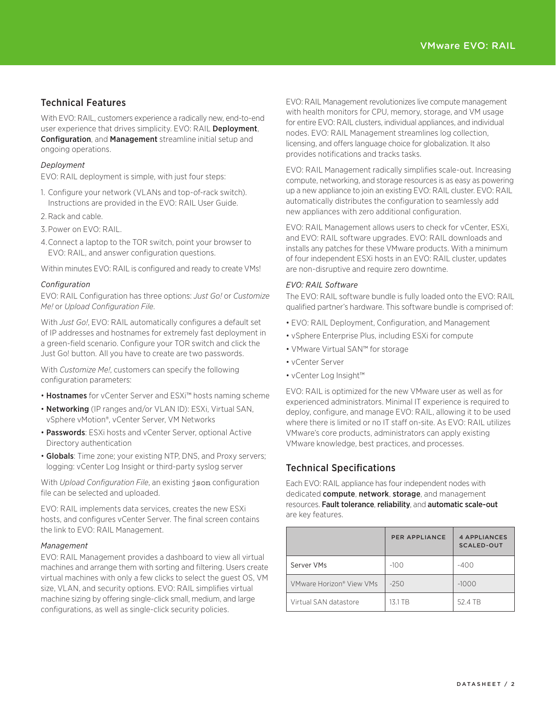# Technical Features

With EVO: RAIL, customers experience a radically new, end-to-end user experience that drives simplicity. EVO: RAIL Deployment, Configuration, and Management streamline initial setup and ongoing operations.

# *Deployment*

EVO: RAIL deployment is simple, with just four steps:

- 1. Configure your network (VLANs and top-of-rack switch). Instructions are provided in the EVO: RAIL User Guide.
- 2. Rack and cable.
- 3.Power on EVO: RAIL.
- 4.Connect a laptop to the TOR switch, point your browser to EVO: RAIL, and answer configuration questions.

Within minutes EVO: RAIL is configured and ready to create VMs!

# *Configuration*

EVO: RAIL Configuration has three options: *Just Go!* or *Customize Me!* or *Upload Configuration File*.

With *Just Go!*, EVO: RAIL automatically configures a default set of IP addresses and hostnames for extremely fast deployment in a green-field scenario. Configure your TOR switch and click the Just Go! button. All you have to create are two passwords.

With *Customize Me!*, customers can specify the following configuration parameters:

- Hostnames for vCenter Server and ESXi™ hosts naming scheme
- Networking (IP ranges and/or VLAN ID): ESXi, Virtual SAN, vSphere vMotion®, vCenter Server, VM Networks
- Passwords: ESXi hosts and vCenter Server, optional Active Directory authentication
- Globals: Time zone; your existing NTP, DNS, and Proxy servers; logging: vCenter Log Insight or third-party syslog server

With *Upload Configuration File*, an existing json configuration file can be selected and uploaded.

EVO: RAIL implements data services, creates the new ESXi hosts, and configures vCenter Server. The final screen contains the link to EVO: RAIL Management.

# *Management*

EVO: RAIL Management provides a dashboard to view all virtual machines and arrange them with sorting and filtering. Users create virtual machines with only a few clicks to select the guest OS, VM size, VLAN, and security options. EVO: RAIL simplifies virtual machine sizing by offering single-click small, medium, and large configurations, as well as single-click security policies.

EVO: RAIL Management revolutionizes live compute management with health monitors for CPU, memory, storage, and VM usage for entire EVO: RAIL clusters, individual appliances, and individual nodes. EVO: RAIL Management streamlines log collection, licensing, and offers language choice for globalization. It also provides notifications and tracks tasks.

EVO: RAIL Management radically simplifies scale-out. Increasing compute, networking, and storage resources is as easy as powering up a new appliance to join an existing EVO: RAIL cluster. EVO: RAIL automatically distributes the configuration to seamlessly add new appliances with zero additional configuration.

EVO: RAIL Management allows users to check for vCenter, ESXi, and EVO: RAIL software upgrades. EVO: RAIL downloads and installs any patches for these VMware products. With a minimum of four independent ESXi hosts in an EVO: RAIL cluster, updates are non-disruptive and require zero downtime.

# *EVO: RAIL Software*

The EVO: RAIL software bundle is fully loaded onto the EVO: RAIL qualified partner's hardware. This software bundle is comprised of:

- EVO: RAIL Deployment, Configuration, and Management
- vSphere Enterprise Plus, including ESXi for compute
- VMware Virtual SAN™ for storage
- • vCenter Server
- • vCenter Log Insight™

EVO: RAIL is optimized for the new VMware user as well as for experienced administrators. Minimal IT experience is required to deploy, configure, and manage EVO: RAIL, allowing it to be used where there is limited or no IT staff on-site. As EVO: RAIL utilizes VMware's core products, administrators can apply existing VMware knowledge, best practices, and processes.

# Technical Specifications

Each EVO: RAIL appliance has four independent nodes with dedicated **compute, network, storage**, and management resources. Fault tolerance, reliability, and automatic scale-out are key features.

|                          | <b>PER APPLIANCE</b> | 4 APPLIANCES<br><b>SCALED-OUT</b> |
|--------------------------|----------------------|-----------------------------------|
| Server VMs               | $-100$               | $-400$                            |
| VMware Horizon® View VMs | $-250$               | $-1000$                           |
| Virtual SAN datastore    | 13.1 TB              | 52.4 TB                           |